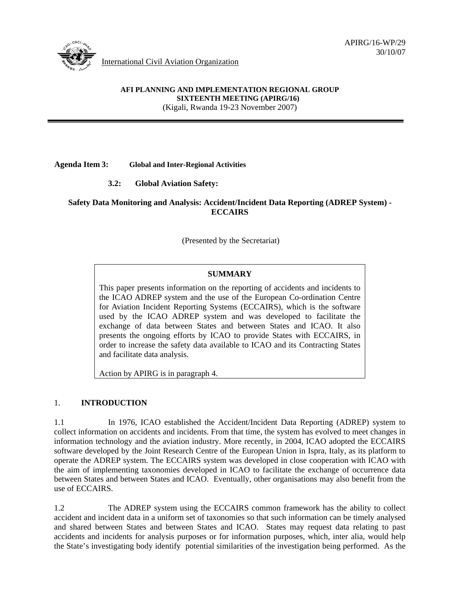

# **AFI PLANNING AND IMPLEMENTATION REGIONAL GROUP SIXTEENTH MEETING (APIRG/16)**

(Kigali, Rwanda 19-23 November 2007)

#### **Agenda Item 3: Global and Inter-Regional Activities**

## **3.2: Global Aviation Safety:**

## **Safety Data Monitoring and Analysis: Accident/Incident Data Reporting (ADREP System) - ECCAIRS**

(Presented by the Secretariat)

## **SUMMARY**

This paper presents information on the reporting of accidents and incidents to the ICAO ADREP system and the use of the European Co-ordination Centre for Aviation Incident Reporting Systems (ECCAIRS), which is the software used by the ICAO ADREP system and was developed to facilitate the exchange of data between States and between States and ICAO. It also presents the ongoing efforts by ICAO to provide States with ECCAIRS, in order to increase the safety data available to ICAO and its Contracting States and facilitate data analysis.

Action by APIRG is in paragraph 4.

#### 1. **INTRODUCTION**

1.1 In 1976, ICAO established the Accident/Incident Data Reporting (ADREP) system to collect information on accidents and incidents. From that time, the system has evolved to meet changes in information technology and the aviation industry. More recently, in 2004, ICAO adopted the ECCAIRS software developed by the Joint Research Centre of the European Union in Ispra, Italy, as its platform to operate the ADREP system. The ECCAIRS system was developed in close cooperation with ICAO with the aim of implementing taxonomies developed in ICAO to facilitate the exchange of occurrence data between States and between States and ICAO. Eventually, other organisations may also benefit from the use of ECCAIRS.

1.2 The ADREP system using the ECCAIRS common framework has the ability to collect accident and incident data in a uniform set of taxonomies so that such information can be timely analysed and shared between States and between States and ICAO. States may request data relating to past accidents and incidents for analysis purposes or for information purposes, which, inter alia, would help the State's investigating body identify potential similarities of the investigation being performed. As the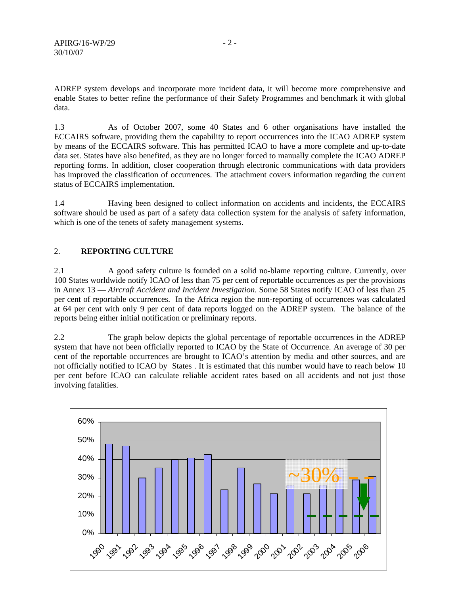ADREP system develops and incorporate more incident data, it will become more comprehensive and enable States to better refine the performance of their Safety Programmes and benchmark it with global data.

1.3 As of October 2007, some 40 States and 6 other organisations have installed the ECCAIRS software, providing them the capability to report occurrences into the ICAO ADREP system by means of the ECCAIRS software. This has permitted ICAO to have a more complete and up-to-date data set. States have also benefited, as they are no longer forced to manually complete the ICAO ADREP reporting forms. In addition, closer cooperation through electronic communications with data providers has improved the classification of occurrences. The attachment covers information regarding the current status of ECCAIRS implementation.

1.4 Having been designed to collect information on accidents and incidents, the ECCAIRS software should be used as part of a safety data collection system for the analysis of safety information, which is one of the tenets of safety management systems.

#### 2. **REPORTING CULTURE**

2.1 A good safety culture is founded on a solid no-blame reporting culture. Currently, over 100 States worldwide notify ICAO of less than 75 per cent of reportable occurrences as per the provisions in Annex 13 — *Aircraft Accident and Incident Investigation*. Some 58 States notify ICAO of less than 25 per cent of reportable occurrences. In the Africa region the non-reporting of occurrences was calculated at 64 per cent with only 9 per cent of data reports logged on the ADREP system. The balance of the reports being either initial notification or preliminary reports.

2.2 The graph below depicts the global percentage of reportable occurrences in the ADREP system that have not been officially reported to ICAO by the State of Occurrence. An average of 30 per cent of the reportable occurrences are brought to ICAO's attention by media and other sources, and are not officially notified to ICAO by States . It is estimated that this number would have to reach below 10 per cent before ICAO can calculate reliable accident rates based on all accidents and not just those involving fatalities.

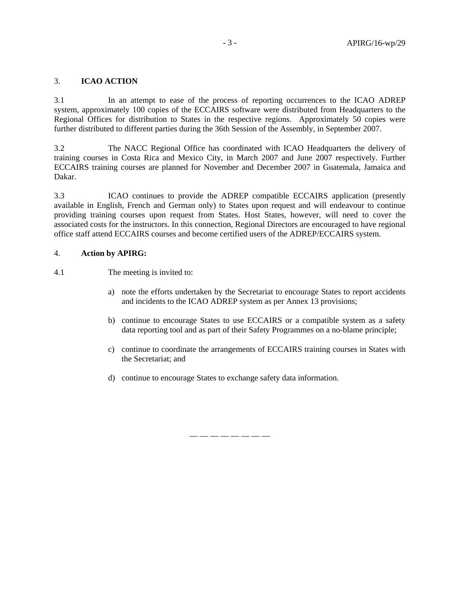#### 3. **ICAO ACTION**

3.1 In an attempt to ease of the process of reporting occurrences to the ICAO ADREP system, approximately 100 copies of the ECCAIRS software were distributed from Headquarters to the Regional Offices for distribution to States in the respective regions. Approximately 50 copies were further distributed to different parties during the 36th Session of the Assembly, in September 2007.

3.2 The NACC Regional Office has coordinated with ICAO Headquarters the delivery of training courses in Costa Rica and Mexico City, in March 2007 and June 2007 respectively. Further ECCAIRS training courses are planned for November and December 2007 in Guatemala, Jamaica and Dakar.

3.3 ICAO continues to provide the ADREP compatible ECCAIRS application (presently available in English, French and German only) to States upon request and will endeavour to continue providing training courses upon request from States. Host States, however, will need to cover the associated costs for the instructors. In this connection, Regional Directors are encouraged to have regional office staff attend ECCAIRS courses and become certified users of the ADREP/ECCAIRS system.

#### 4. **Action by APIRG:**

4.1 The meeting is invited to:

- a) note the efforts undertaken by the Secretariat to encourage States to report accidents and incidents to the ICAO ADREP system as per Annex 13 provisions;
- b) continue to encourage States to use ECCAIRS or a compatible system as a safety data reporting tool and as part of their Safety Programmes on a no-blame principle;
- c) continue to coordinate the arrangements of ECCAIRS training courses in States with the Secretariat; and
- d) continue to encourage States to exchange safety data information.

— — — — — — — —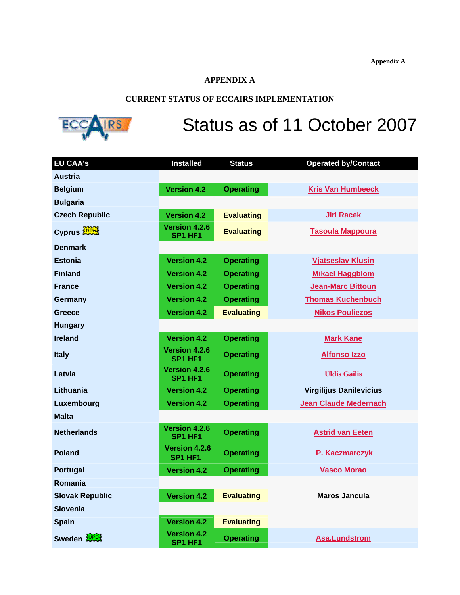**Appendix A**

# **APPENDIX A**

# **CURRENT STATUS OF ECCAIRS IMPLEMENTATION**



# Status as of 11 October 2007

| <b>EU CAA's</b>        | <b>Installed</b>                                 | <b>Status</b>     | <b>Operated by/Contact</b>     |
|------------------------|--------------------------------------------------|-------------------|--------------------------------|
| <b>Austria</b>         |                                                  |                   |                                |
| <b>Belgium</b>         | <b>Version 4.2</b>                               | <b>Operating</b>  | <b>Kris Van Humbeeck</b>       |
| <b>Bulgaria</b>        |                                                  |                   |                                |
| <b>Czech Republic</b>  | <b>Version 4.2</b>                               | <b>Evaluating</b> | <b>Jiri Racek</b>              |
| Cyprus <b>MEWS</b>     | <b>Version 4.2.6</b><br>SP1 HF1                  | <b>Evaluating</b> | <b>Tasoula Mappoura</b>        |
| <b>Denmark</b>         |                                                  |                   |                                |
| <b>Estonia</b>         | <b>Version 4.2</b>                               | <b>Operating</b>  | <b>Vjatseslav Klusin</b>       |
| <b>Finland</b>         | <b>Version 4.2</b>                               | <b>Operating</b>  | <b>Mikael Haggblom</b>         |
| <b>France</b>          | <b>Version 4.2</b>                               | <b>Operating</b>  | <b>Jean-Marc Bittoun</b>       |
| Germany                | <b>Version 4.2</b>                               | <b>Operating</b>  | <b>Thomas Kuchenbuch</b>       |
| Greece                 | <b>Version 4.2</b>                               | <b>Evaluating</b> | <b>Nikos Pouliezos</b>         |
| <b>Hungary</b>         |                                                  |                   |                                |
| <b>Ireland</b>         | <b>Version 4.2</b>                               | <b>Operating</b>  | <b>Mark Kane</b>               |
| <b>Italy</b>           | Version 4.2.6<br>SP1 HF1                         | <b>Operating</b>  | <b>Alfonso Izzo</b>            |
| Latvia                 | Version 4.2.6<br>SP <sub>1</sub> HF <sub>1</sub> | <b>Operating</b>  | <b>Uldis Gailis</b>            |
| Lithuania              | <b>Version 4.2</b>                               | <b>Operating</b>  | <b>Virgilijus Danilevicius</b> |
| Luxembourg             | <b>Version 4.2</b>                               | <b>Operating</b>  | <b>Jean Claude Medernach</b>   |
| <b>Malta</b>           |                                                  |                   |                                |
| <b>Netherlands</b>     | <b>Version 4.2.6</b><br>SP1 HF1                  | <b>Operating</b>  | <b>Astrid van Eeten</b>        |
| <b>Poland</b>          | <b>Version 4.2.6</b><br>SP1 HF1                  | <b>Operating</b>  | P. Kaczmarczyk                 |
| Portugal               | <b>Version 4.2</b>                               | <b>Operating</b>  | <b>Vasco Morao</b>             |
| Romania                |                                                  |                   |                                |
| <b>Slovak Republic</b> | <b>Version 4.2</b>                               | <b>Evaluating</b> | <b>Maros Jancula</b>           |
| <b>Slovenia</b>        |                                                  |                   |                                |
| <b>Spain</b>           | <b>Version 4.2</b>                               | <b>Evaluating</b> |                                |
| Sweden <b>WPOX</b>     | <b>Version 4.2</b><br>SP1 HF1                    | <b>Operating</b>  | <b>Asa.Lundstrom</b>           |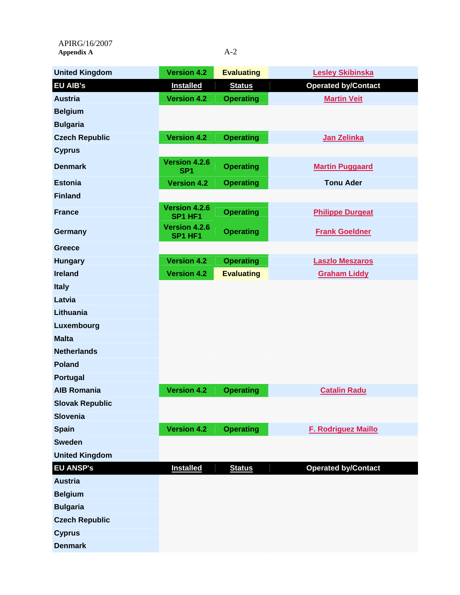APIRG/16/2007 Appendix A<br>
A-2

| <b>United Kingdom</b>  | <b>Version 4.2</b>               | <b>Evaluating</b> | <b>Lesley Skibinska</b>    |
|------------------------|----------------------------------|-------------------|----------------------------|
| <b>EU AIB's</b>        | <b>Installed</b>                 | <b>Status</b>     | <b>Operated by/Contact</b> |
| <b>Austria</b>         | <b>Version 4.2</b>               | <b>Operating</b>  | <b>Martin Veit</b>         |
| <b>Belgium</b>         |                                  |                   |                            |
| <b>Bulgaria</b>        |                                  |                   |                            |
| <b>Czech Republic</b>  | <b>Version 4.2</b>               | <b>Operating</b>  | Jan Zelinka                |
| <b>Cyprus</b>          |                                  |                   |                            |
| <b>Denmark</b>         | Version 4.2.6<br>SP <sub>1</sub> | <b>Operating</b>  | <b>Martin Puggaard</b>     |
| <b>Estonia</b>         | <b>Version 4.2</b>               | <b>Operating</b>  | <b>Tonu Ader</b>           |
| <b>Finland</b>         |                                  |                   |                            |
| <b>France</b>          | Version 4.2.6<br>SP1 HF1         | <b>Operating</b>  | <b>Philippe Durgeat</b>    |
| Germany                | <b>Version 4.2.6</b><br>SP1 HF1  | <b>Operating</b>  | <b>Frank Goeldner</b>      |
| Greece                 |                                  |                   |                            |
| <b>Hungary</b>         | <b>Version 4.2</b>               | <b>Operating</b>  | <b>Laszlo Meszaros</b>     |
| <b>Ireland</b>         | <b>Version 4.2</b>               | <b>Evaluating</b> | <b>Graham Liddy</b>        |
| <b>Italy</b>           |                                  |                   |                            |
| Latvia                 |                                  |                   |                            |
| Lithuania              |                                  |                   |                            |
| Luxembourg             |                                  |                   |                            |
| <b>Malta</b>           |                                  |                   |                            |
| <b>Netherlands</b>     |                                  |                   |                            |
| <b>Poland</b>          |                                  |                   |                            |
| Portugal               |                                  |                   |                            |
| <b>AIB Romania</b>     | <b>Version 4.2</b>               | <b>Operating</b>  | <b>Catalin Radu</b>        |
| <b>Slovak Republic</b> |                                  |                   |                            |
| Slovenia               |                                  |                   |                            |
| <b>Spain</b>           | <b>Version 4.2</b>               | <b>Operating</b>  | <b>F. Rodriguez Maillo</b> |
| <b>Sweden</b>          |                                  |                   |                            |
| <b>United Kingdom</b>  |                                  |                   |                            |
| <b>EU ANSP's</b>       | <b>Installed</b>                 | <b>Status</b>     | <b>Operated by/Contact</b> |
| <b>Austria</b>         |                                  |                   |                            |
| <b>Belgium</b>         |                                  |                   |                            |
| <b>Bulgaria</b>        |                                  |                   |                            |
| <b>Czech Republic</b>  |                                  |                   |                            |
| <b>Cyprus</b>          |                                  |                   |                            |
| <b>Denmark</b>         |                                  |                   |                            |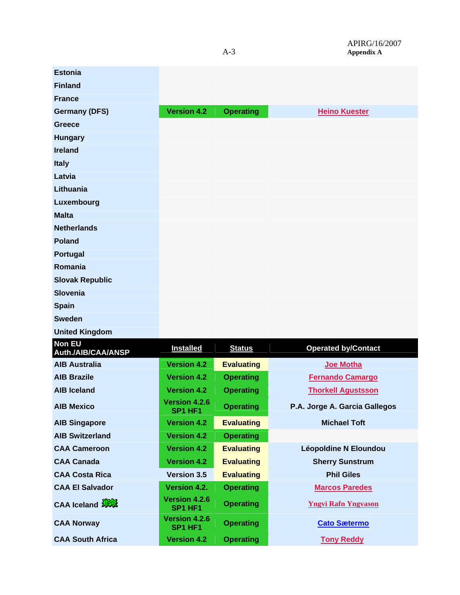| <b>Estonia</b>                      |                                 |                   |                               |
|-------------------------------------|---------------------------------|-------------------|-------------------------------|
| <b>Finland</b>                      |                                 |                   |                               |
| <b>France</b>                       |                                 |                   |                               |
| <b>Germany (DFS)</b>                | <b>Version 4.2</b>              | <b>Operating</b>  | <b>Heino Kuester</b>          |
| <b>Greece</b>                       |                                 |                   |                               |
| <b>Hungary</b>                      |                                 |                   |                               |
| <b>Ireland</b>                      |                                 |                   |                               |
| <b>Italy</b>                        |                                 |                   |                               |
| Latvia                              |                                 |                   |                               |
| Lithuania                           |                                 |                   |                               |
| Luxembourg                          |                                 |                   |                               |
| <b>Malta</b>                        |                                 |                   |                               |
| <b>Netherlands</b>                  |                                 |                   |                               |
| <b>Poland</b>                       |                                 |                   |                               |
| Portugal                            |                                 |                   |                               |
| Romania                             |                                 |                   |                               |
| <b>Slovak Republic</b>              |                                 |                   |                               |
| <b>Slovenia</b>                     |                                 |                   |                               |
| <b>Spain</b>                        |                                 |                   |                               |
| <b>Sweden</b>                       |                                 |                   |                               |
| <b>United Kingdom</b>               |                                 |                   |                               |
| <b>Non EU</b><br>Auth./AIB/CAA/ANSP | <b>Installed</b>                | <b>Status</b>     | <b>Operated by/Contact</b>    |
| <b>AIB Australia</b>                | <b>Version 4.2</b>              | <b>Evaluating</b> | Joe Motha                     |
| <b>AIB Brazile</b>                  | <b>Version 4.2</b>              | <b>Operating</b>  | <b>Fernando Camargo</b>       |
| <b>AIB Iceland</b>                  | <b>Version 4.2</b>              | <b>Operating</b>  | <b>Thorkell Agustsson</b>     |
| <b>AIB Mexico</b>                   | Version 4.2.6<br>SP1 HF1        | <b>Operating</b>  | P.A. Jorge A. Garcia Gallegos |
| <b>AIB Singapore</b>                | <b>Version 4.2</b>              | <b>Evaluating</b> | <b>Michael Toft</b>           |
| <b>AIB Switzerland</b>              | <b>Version 4.2</b>              | <b>Operating</b>  |                               |
| <b>CAA Cameroon</b>                 | <b>Version 4.2</b>              | <b>Evaluating</b> | <b>Léopoldine N Eloundou</b>  |
| <b>CAA Canada</b>                   | <b>Version 4.2</b>              | <b>Evaluating</b> | <b>Sherry Sunstrum</b>        |
| <b>CAA Costa Rica</b>               | <b>Version 3.5</b>              | <b>Evaluating</b> | <b>Phil Giles</b>             |
| <b>CAA El Salvador</b>              | Version 4.2.                    | <b>Operating</b>  | <b>Marcos Paredes</b>         |
| CAA Iceland                         | <b>Version 4.2.6</b><br>SP1 HF1 | <b>Operating</b>  | <b>Yngvi Rafn Yngvason</b>    |
| <b>CAA Norway</b>                   | <b>Version 4.2.6</b><br>SP1 HF1 | <b>Operating</b>  | <b>Cato Sætermo</b>           |
| <b>CAA South Africa</b>             | <b>Version 4.2</b>              | <b>Operating</b>  | <b>Tony Reddy</b>             |